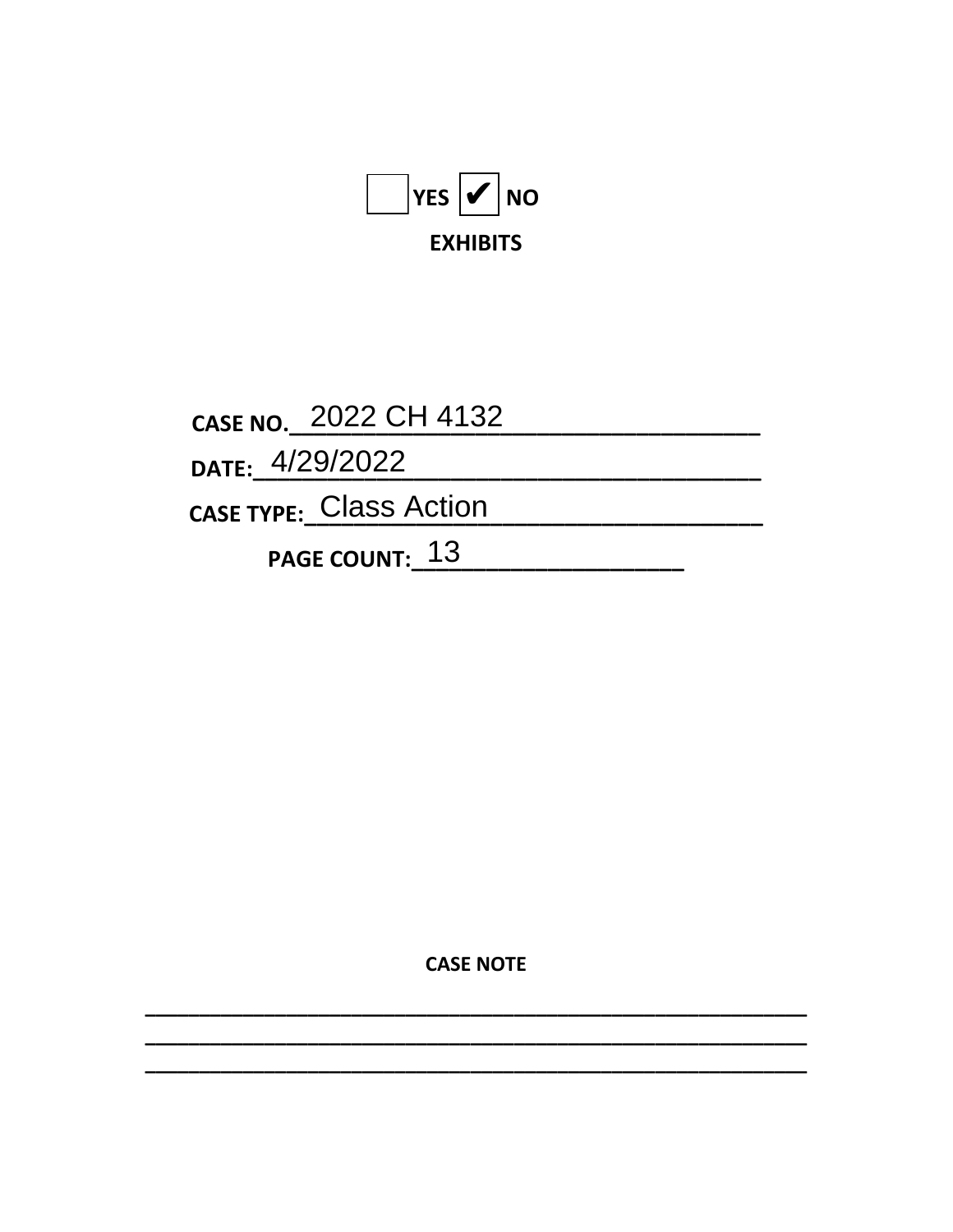

CASE NO. 2022 CH 4132 DATE: 4/29/2022 CASE TYPE: Class Action PAGE COUNT: 13

**CASE NOTE**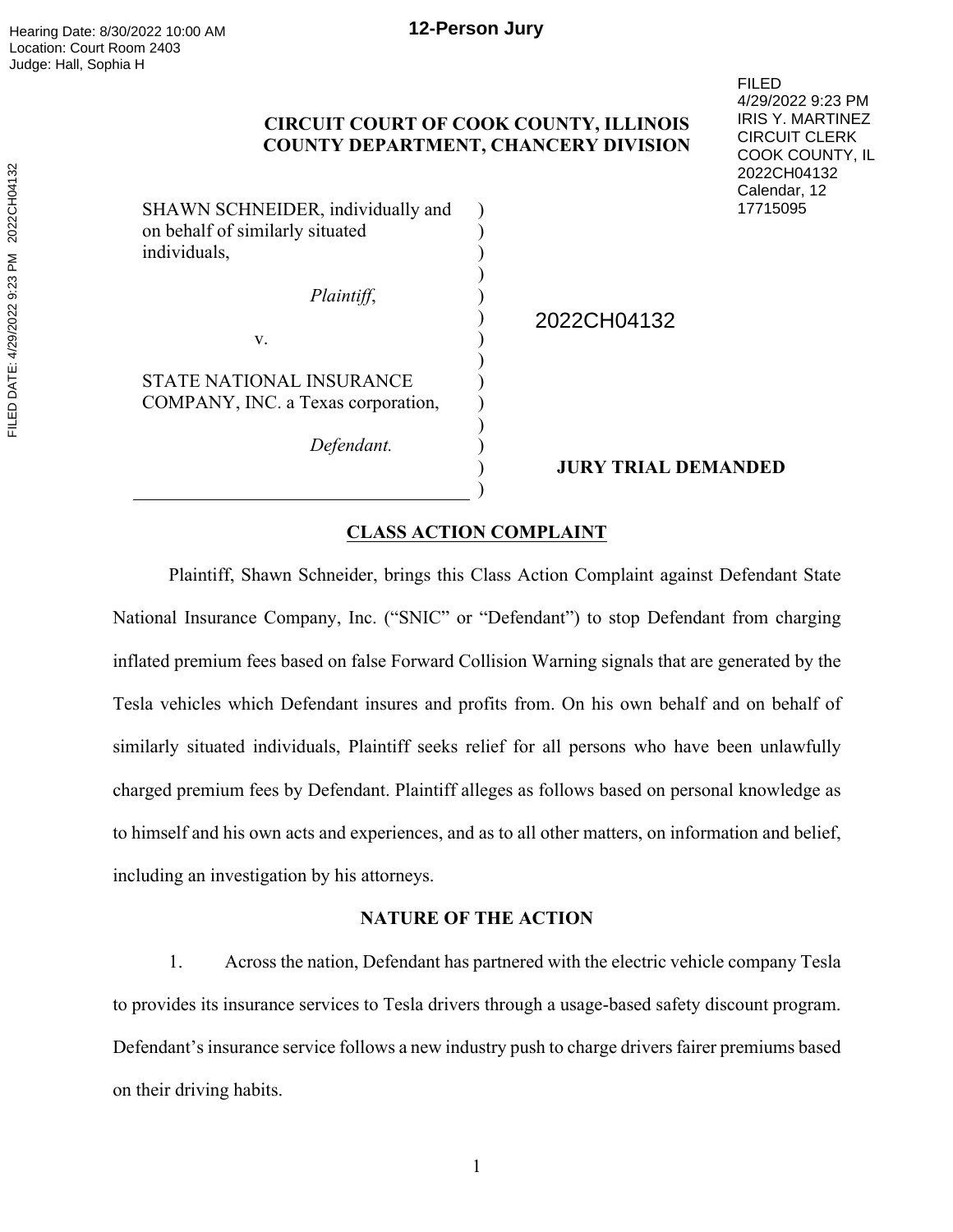# **CIRCUIT COURT OF COOK COUNTY, ILLINOIS COUNTY DEPARTMENT, CHANCERY DIVISION**

) ) ) ) ) )  $\overline{)}$ ) ) ) ) ) ) )

SHAWN SCHNEIDER, individually and on behalf of similarly situated individuals,

v.

STATE NATIONAL INSURANCE

*Plaintiff*,

2022CH04132

COMPANY, INC. a Texas corporation,

*Defendant.* 

## **JURY TRIAL DEMANDED**

FILED

4/29/2022 9:23 PM IRIS Y. MARTINEZ CIRCUIT CLERK COOK COUNTY, IL 2022CH04132 Calendar, 12 17715095

## **CLASS ACTION COMPLAINT**

Plaintiff, Shawn Schneider, brings this Class Action Complaint against Defendant State National Insurance Company, Inc. ("SNIC" or "Defendant") to stop Defendant from charging inflated premium fees based on false Forward Collision Warning signals that are generated by the Tesla vehicles which Defendant insures and profits from. On his own behalf and on behalf of similarly situated individuals, Plaintiff seeks relief for all persons who have been unlawfully charged premium fees by Defendant. Plaintiff alleges as follows based on personal knowledge as to himself and his own acts and experiences, and as to all other matters, on information and belief, including an investigation by his attorneys.

# **NATURE OF THE ACTION**

1. Across the nation, Defendant has partnered with the electric vehicle company Tesla to provides its insurance services to Tesla drivers through a usage-based safety discount program. Defendant's insurance service follows a new industry push to charge drivers fairer premiums based on their driving habits.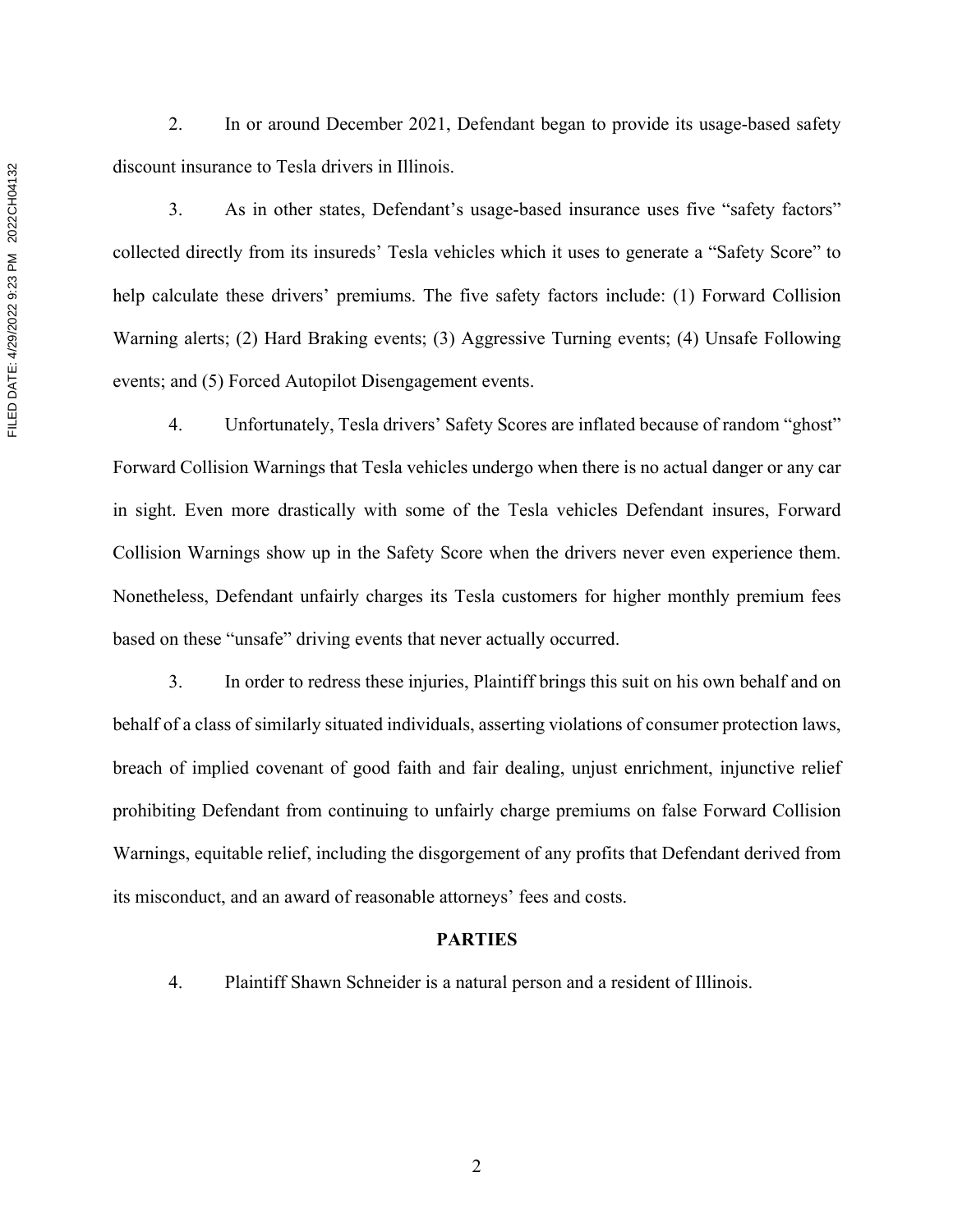2. In or around December 2021, Defendant began to provide its usage-based safety discount insurance to Tesla drivers in Illinois.

3. As in other states, Defendant's usage-based insurance uses five "safety factors" collected directly from its insureds' Tesla vehicles which it uses to generate a "Safety Score" to help calculate these drivers' premiums. The five safety factors include: (1) Forward Collision Warning alerts; (2) Hard Braking events; (3) Aggressive Turning events; (4) Unsafe Following events; and (5) Forced Autopilot Disengagement events.

4. Unfortunately, Tesla drivers' Safety Scores are inflated because of random "ghost" Forward Collision Warnings that Tesla vehicles undergo when there is no actual danger or any car in sight. Even more drastically with some of the Tesla vehicles Defendant insures, Forward Collision Warnings show up in the Safety Score when the drivers never even experience them. Nonetheless, Defendant unfairly charges its Tesla customers for higher monthly premium fees based on these "unsafe" driving events that never actually occurred.

3. In order to redress these injuries, Plaintiff brings this suit on his own behalf and on behalf of a class of similarly situated individuals, asserting violations of consumer protection laws, breach of implied covenant of good faith and fair dealing, unjust enrichment, injunctive relief prohibiting Defendant from continuing to unfairly charge premiums on false Forward Collision Warnings, equitable relief, including the disgorgement of any profits that Defendant derived from its misconduct, and an award of reasonable attorneys' fees and costs.

#### **PARTIES**

4. Plaintiff Shawn Schneider is a natural person and a resident of Illinois.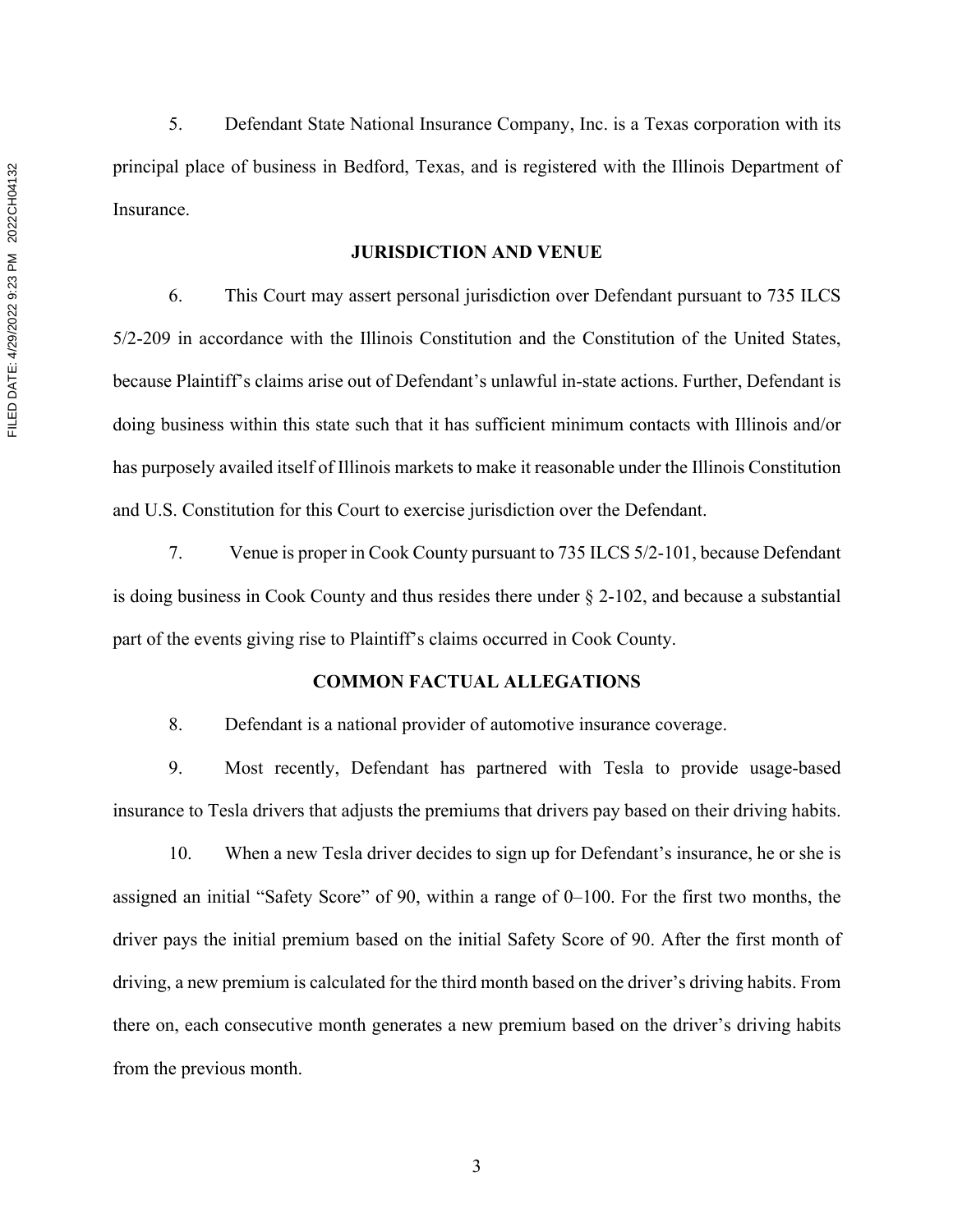5. Defendant State National Insurance Company, Inc. is a Texas corporation with its principal place of business in Bedford, Texas, and is registered with the Illinois Department of **Insurance** 

#### **JURISDICTION AND VENUE**

6. This Court may assert personal jurisdiction over Defendant pursuant to 735 ILCS 5/2-209 in accordance with the Illinois Constitution and the Constitution of the United States, because Plaintiff's claims arise out of Defendant's unlawful in-state actions. Further, Defendant is doing business within this state such that it has sufficient minimum contacts with Illinois and/or has purposely availed itself of Illinois markets to make it reasonable under the Illinois Constitution and U.S. Constitution for this Court to exercise jurisdiction over the Defendant.

7. Venue is proper in Cook County pursuant to 735 ILCS 5/2-101, because Defendant is doing business in Cook County and thus resides there under § 2-102, and because a substantial part of the events giving rise to Plaintiff's claims occurred in Cook County.

#### **COMMON FACTUAL ALLEGATIONS**

8. Defendant is a national provider of automotive insurance coverage.

9. Most recently, Defendant has partnered with Tesla to provide usage-based insurance to Tesla drivers that adjusts the premiums that drivers pay based on their driving habits.

10. When a new Tesla driver decides to sign up for Defendant's insurance, he or she is assigned an initial "Safety Score" of 90, within a range of 0–100. For the first two months, the driver pays the initial premium based on the initial Safety Score of 90. After the first month of driving, a new premium is calculated for the third month based on the driver's driving habits. From there on, each consecutive month generates a new premium based on the driver's driving habits from the previous month.

3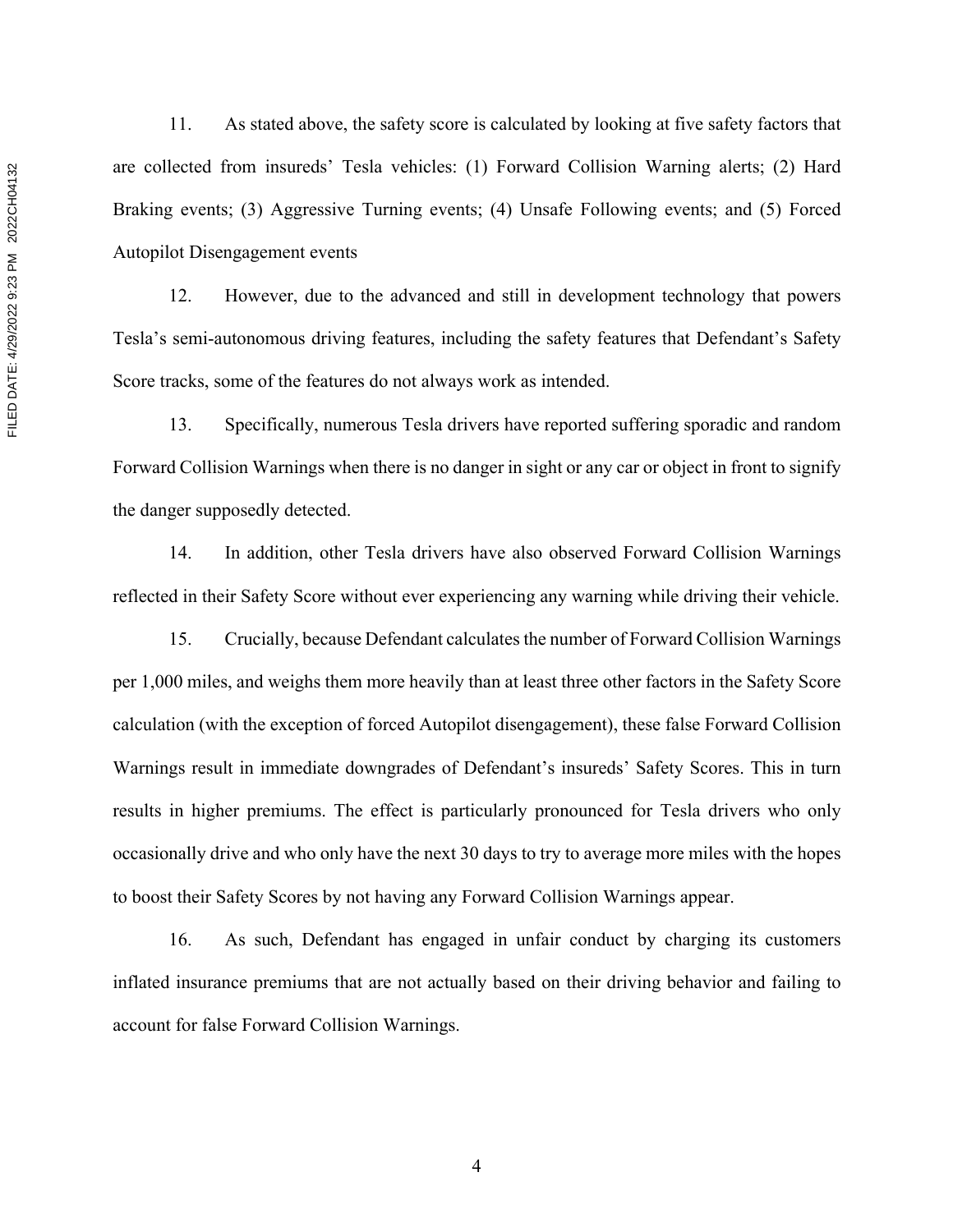11. As stated above, the safety score is calculated by looking at five safety factors that are collected from insureds' Tesla vehicles: (1) Forward Collision Warning alerts; (2) Hard Braking events; (3) Aggressive Turning events; (4) Unsafe Following events; and (5) Forced Autopilot Disengagement events

12. However, due to the advanced and still in development technology that powers Tesla's semi-autonomous driving features, including the safety features that Defendant's Safety Score tracks, some of the features do not always work as intended.

13. Specifically, numerous Tesla drivers have reported suffering sporadic and random Forward Collision Warnings when there is no danger in sight or any car or object in front to signify the danger supposedly detected.

14. In addition, other Tesla drivers have also observed Forward Collision Warnings reflected in their Safety Score without ever experiencing any warning while driving their vehicle.

15. Crucially, because Defendant calculates the number of Forward Collision Warnings per 1,000 miles, and weighs them more heavily than at least three other factors in the Safety Score calculation (with the exception of forced Autopilot disengagement), these false Forward Collision Warnings result in immediate downgrades of Defendant's insureds' Safety Scores. This in turn results in higher premiums. The effect is particularly pronounced for Tesla drivers who only occasionally drive and who only have the next 30 days to try to average more miles with the hopes to boost their Safety Scores by not having any Forward Collision Warnings appear.

16. As such, Defendant has engaged in unfair conduct by charging its customers inflated insurance premiums that are not actually based on their driving behavior and failing to account for false Forward Collision Warnings.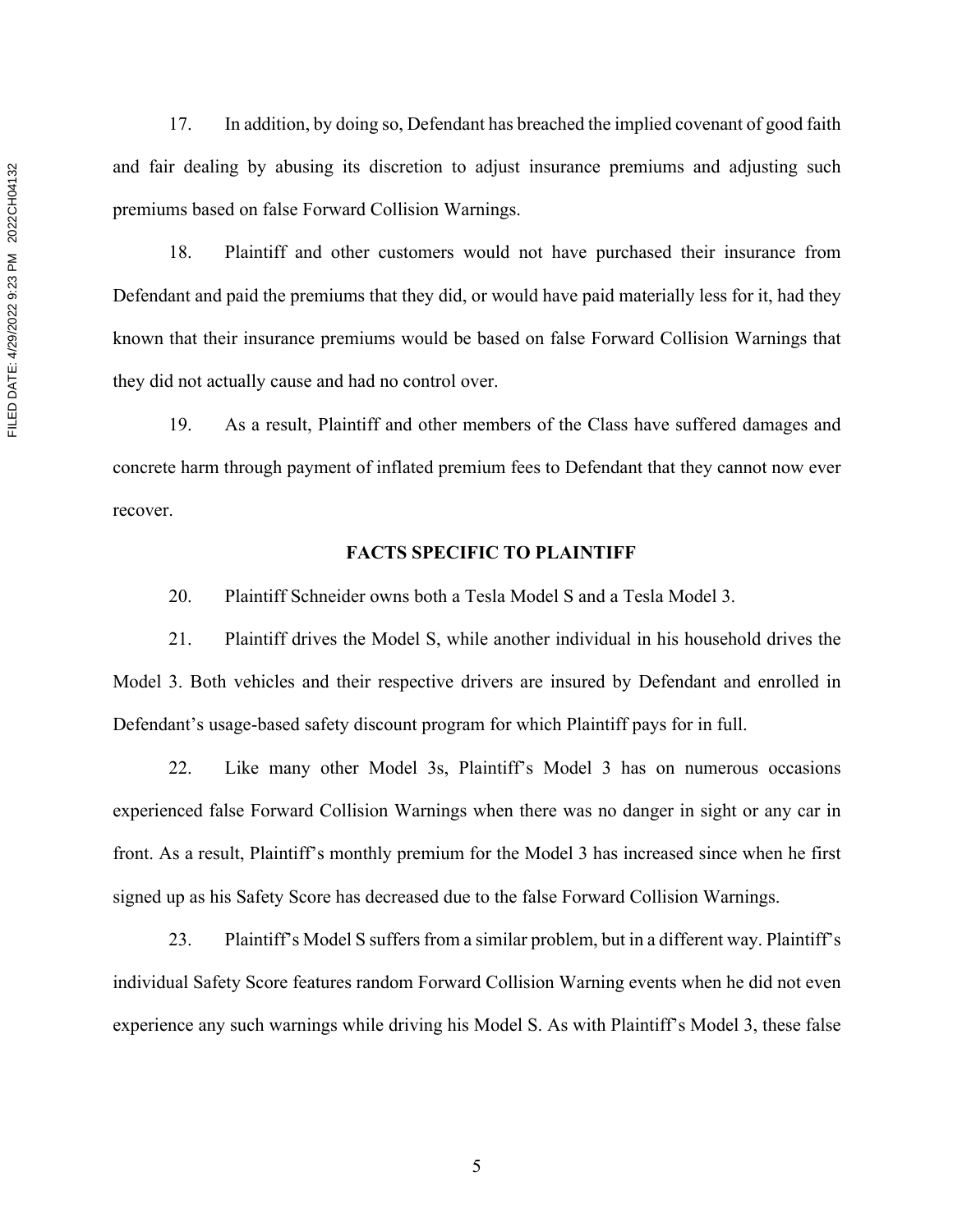17. In addition, by doing so, Defendant has breached the implied covenant of good faith and fair dealing by abusing its discretion to adjust insurance premiums and adjusting such premiums based on false Forward Collision Warnings.

18. Plaintiff and other customers would not have purchased their insurance from Defendant and paid the premiums that they did, or would have paid materially less for it, had they known that their insurance premiums would be based on false Forward Collision Warnings that they did not actually cause and had no control over.

19. As a result, Plaintiff and other members of the Class have suffered damages and concrete harm through payment of inflated premium fees to Defendant that they cannot now ever recover.

## **FACTS SPECIFIC TO PLAINTIFF**

20. Plaintiff Schneider owns both a Tesla Model S and a Tesla Model 3.

21. Plaintiff drives the Model S, while another individual in his household drives the Model 3. Both vehicles and their respective drivers are insured by Defendant and enrolled in Defendant's usage-based safety discount program for which Plaintiff pays for in full.

22. Like many other Model 3s, Plaintiff's Model 3 has on numerous occasions experienced false Forward Collision Warnings when there was no danger in sight or any car in front. As a result, Plaintiff's monthly premium for the Model 3 has increased since when he first signed up as his Safety Score has decreased due to the false Forward Collision Warnings.

23. Plaintiff's Model S suffers from a similar problem, but in a different way. Plaintiff's individual Safety Score features random Forward Collision Warning events when he did not even experience any such warnings while driving his Model S. As with Plaintiff's Model 3, these false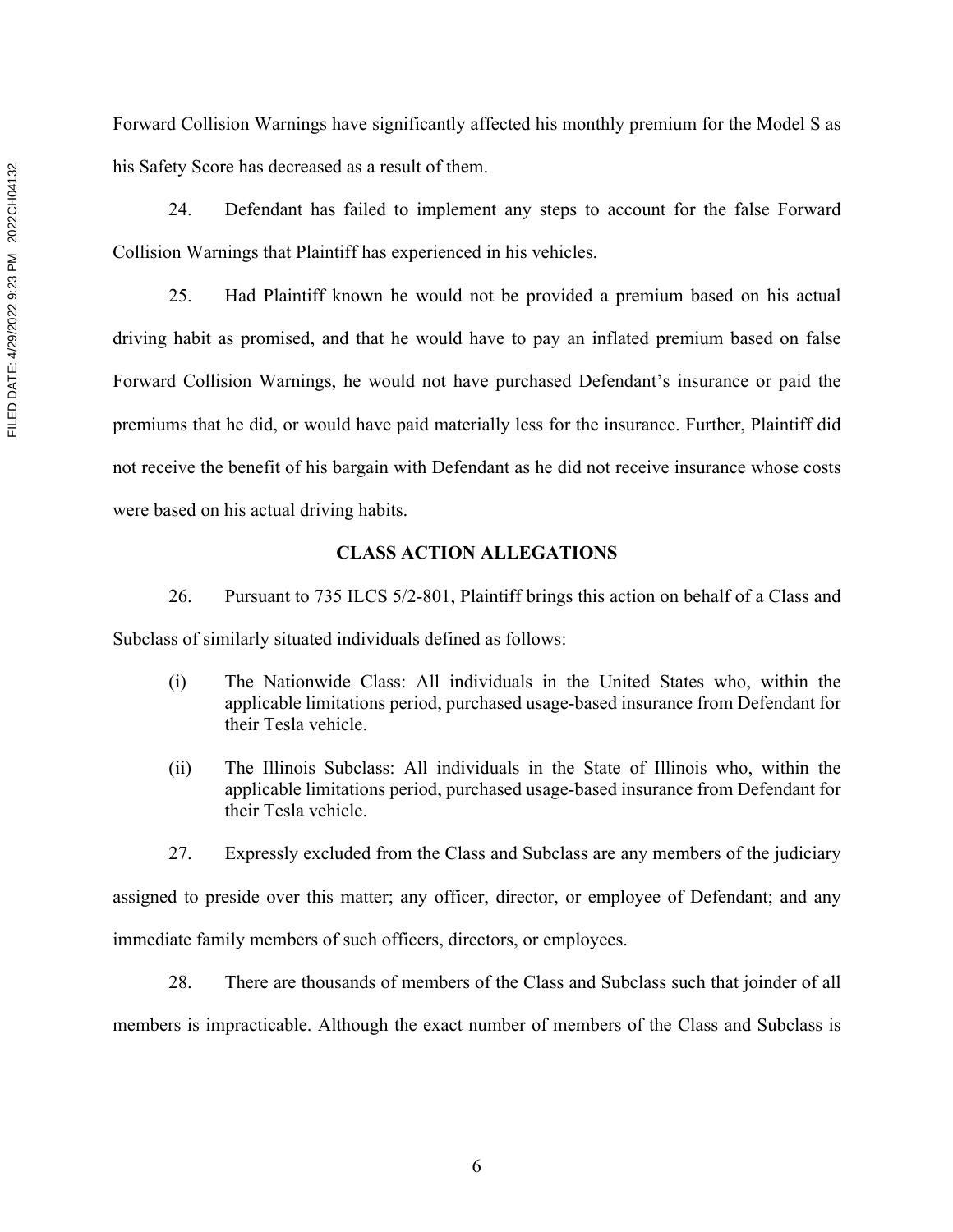Forward Collision Warnings have significantly affected his monthly premium for the Model S as his Safety Score has decreased as a result of them.

24. Defendant has failed to implement any steps to account for the false Forward Collision Warnings that Plaintiff has experienced in his vehicles.

25. Had Plaintiff known he would not be provided a premium based on his actual driving habit as promised, and that he would have to pay an inflated premium based on false Forward Collision Warnings, he would not have purchased Defendant's insurance or paid the premiums that he did, or would have paid materially less for the insurance. Further, Plaintiff did not receive the benefit of his bargain with Defendant as he did not receive insurance whose costs were based on his actual driving habits.

## **CLASS ACTION ALLEGATIONS**

26. Pursuant to 735 ILCS 5/2-801, Plaintiff brings this action on behalf of a Class and Subclass of similarly situated individuals defined as follows:

- (i) The Nationwide Class: All individuals in the United States who, within the applicable limitations period, purchased usage-based insurance from Defendant for their Tesla vehicle.
- (ii) The Illinois Subclass: All individuals in the State of Illinois who, within the applicable limitations period, purchased usage-based insurance from Defendant for their Tesla vehicle.
- 27. Expressly excluded from the Class and Subclass are any members of the judiciary

assigned to preside over this matter; any officer, director, or employee of Defendant; and any immediate family members of such officers, directors, or employees.

28. There are thousands of members of the Class and Subclass such that joinder of all members is impracticable. Although the exact number of members of the Class and Subclass is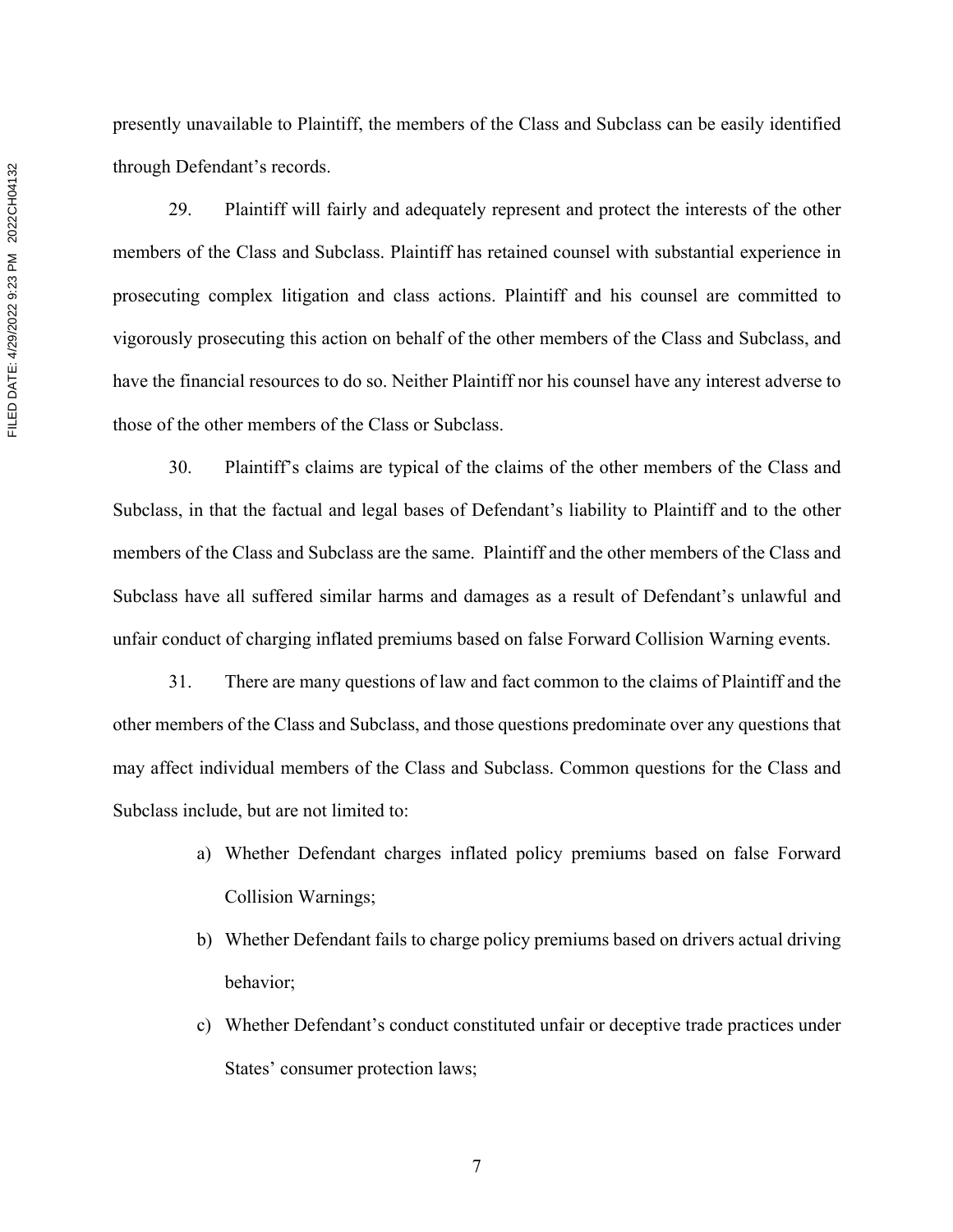presently unavailable to Plaintiff, the members of the Class and Subclass can be easily identified through Defendant's records.

29. Plaintiff will fairly and adequately represent and protect the interests of the other members of the Class and Subclass. Plaintiff has retained counsel with substantial experience in prosecuting complex litigation and class actions. Plaintiff and his counsel are committed to vigorously prosecuting this action on behalf of the other members of the Class and Subclass, and have the financial resources to do so. Neither Plaintiff nor his counsel have any interest adverse to those of the other members of the Class or Subclass.

30. Plaintiff's claims are typical of the claims of the other members of the Class and Subclass, in that the factual and legal bases of Defendant's liability to Plaintiff and to the other members of the Class and Subclass are the same. Plaintiff and the other members of the Class and Subclass have all suffered similar harms and damages as a result of Defendant's unlawful and unfair conduct of charging inflated premiums based on false Forward Collision Warning events.

31. There are many questions of law and fact common to the claims of Plaintiff and the other members of the Class and Subclass, and those questions predominate over any questions that may affect individual members of the Class and Subclass. Common questions for the Class and Subclass include, but are not limited to:

- a) Whether Defendant charges inflated policy premiums based on false Forward Collision Warnings;
- b) Whether Defendant fails to charge policy premiums based on drivers actual driving behavior;
- c) Whether Defendant's conduct constituted unfair or deceptive trade practices under States' consumer protection laws;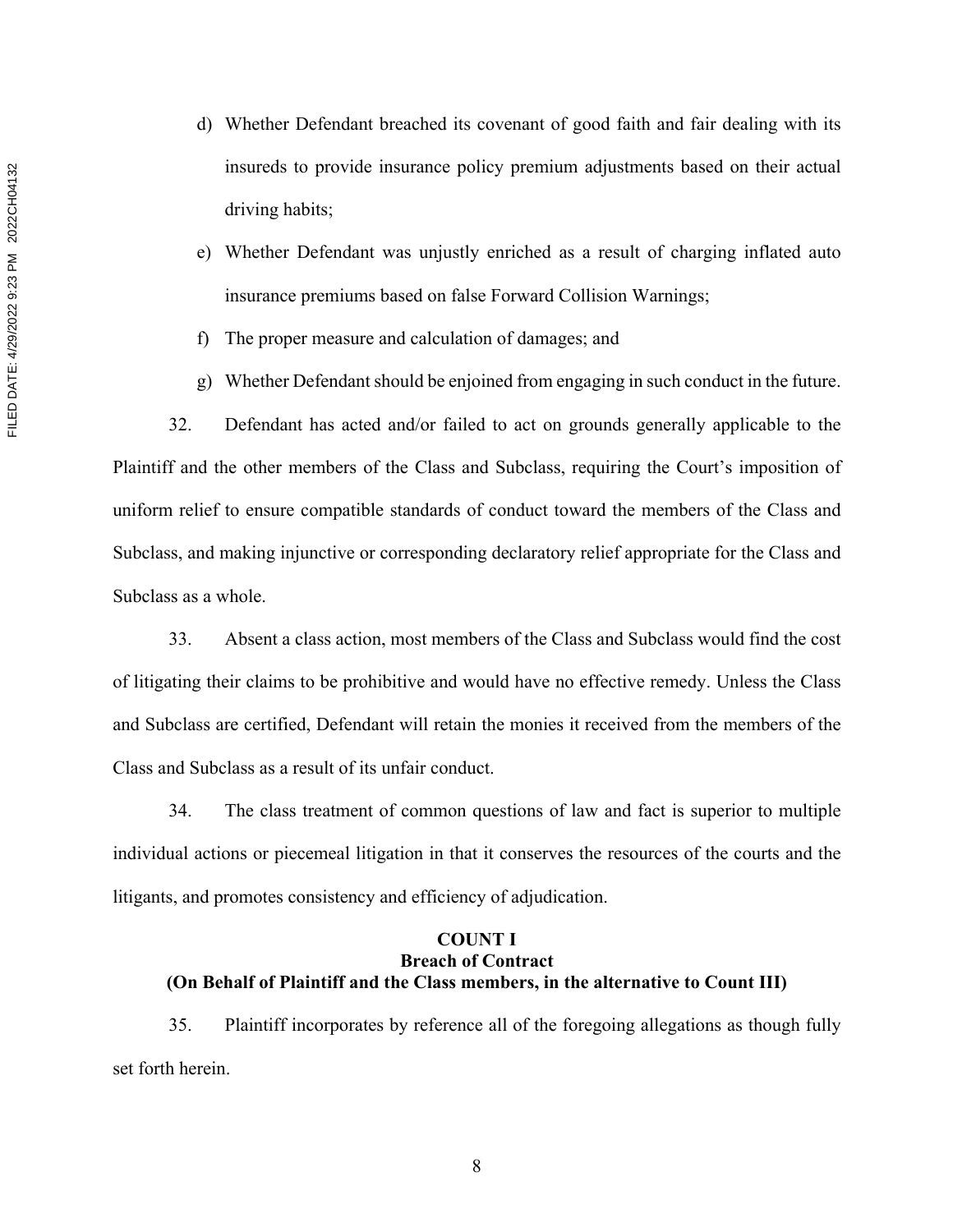- d) Whether Defendant breached its covenant of good faith and fair dealing with its insureds to provide insurance policy premium adjustments based on their actual driving habits;
- e) Whether Defendant was unjustly enriched as a result of charging inflated auto insurance premiums based on false Forward Collision Warnings;
- f) The proper measure and calculation of damages; and
- g) Whether Defendant should be enjoined from engaging in such conduct in the future.

32. Defendant has acted and/or failed to act on grounds generally applicable to the Plaintiff and the other members of the Class and Subclass, requiring the Court's imposition of uniform relief to ensure compatible standards of conduct toward the members of the Class and Subclass, and making injunctive or corresponding declaratory relief appropriate for the Class and Subclass as a whole.

33. Absent a class action, most members of the Class and Subclass would find the cost of litigating their claims to be prohibitive and would have no effective remedy. Unless the Class and Subclass are certified, Defendant will retain the monies it received from the members of the Class and Subclass as a result of its unfair conduct.

34. The class treatment of common questions of law and fact is superior to multiple individual actions or piecemeal litigation in that it conserves the resources of the courts and the litigants, and promotes consistency and efficiency of adjudication.

# **COUNT I Breach of Contract (On Behalf of Plaintiff and the Class members, in the alternative to Count III)**

35. Plaintiff incorporates by reference all of the foregoing allegations as though fully set forth herein.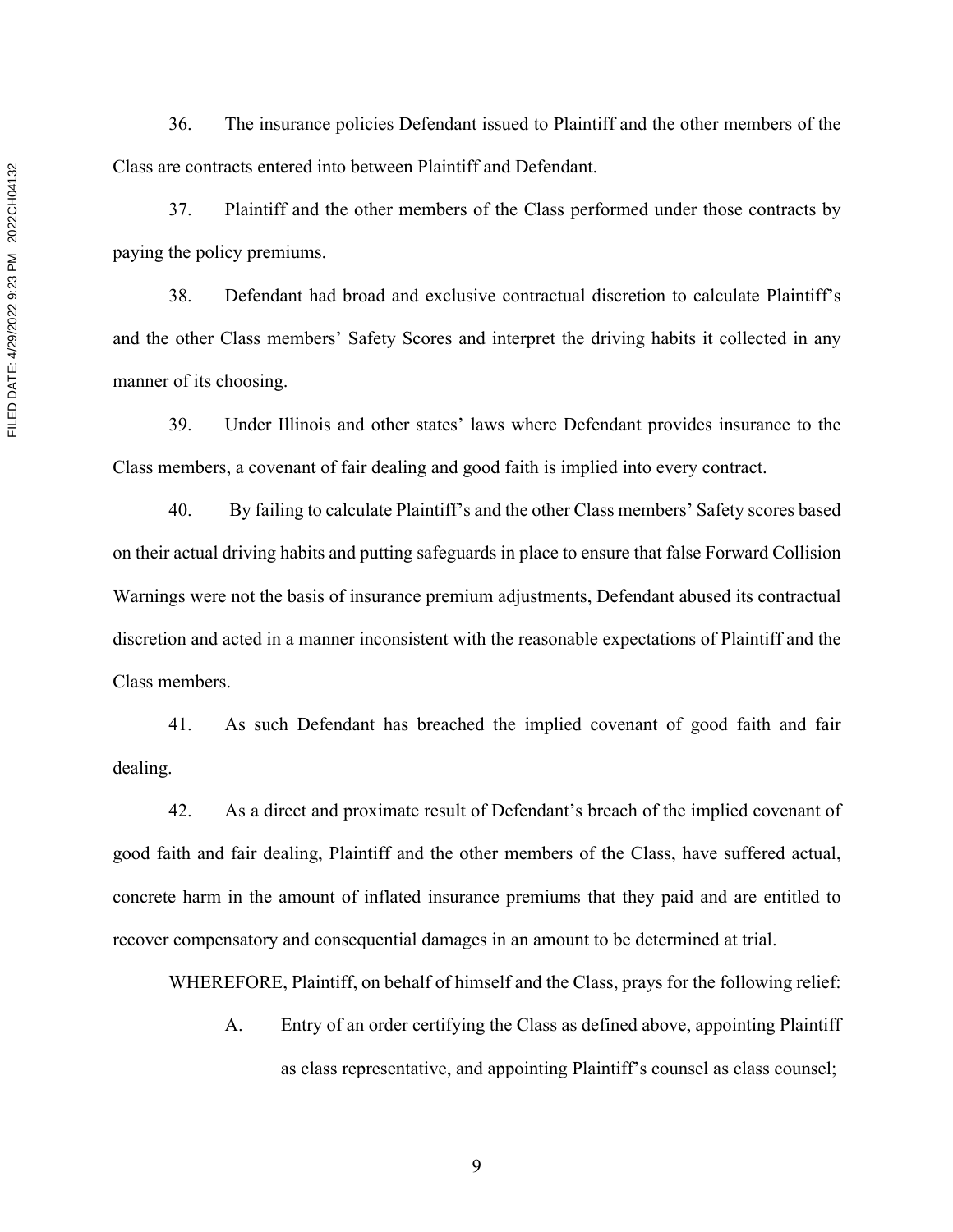36. The insurance policies Defendant issued to Plaintiff and the other members of the Class are contracts entered into between Plaintiff and Defendant.

37. Plaintiff and the other members of the Class performed under those contracts by paying the policy premiums.

38. Defendant had broad and exclusive contractual discretion to calculate Plaintiff's and the other Class members' Safety Scores and interpret the driving habits it collected in any manner of its choosing.

39. Under Illinois and other states' laws where Defendant provides insurance to the Class members, a covenant of fair dealing and good faith is implied into every contract.

40. By failing to calculate Plaintiff's and the other Class members' Safety scores based on their actual driving habits and putting safeguards in place to ensure that false Forward Collision Warnings were not the basis of insurance premium adjustments, Defendant abused its contractual discretion and acted in a manner inconsistent with the reasonable expectations of Plaintiff and the Class members.

41. As such Defendant has breached the implied covenant of good faith and fair dealing.

42. As a direct and proximate result of Defendant's breach of the implied covenant of good faith and fair dealing, Plaintiff and the other members of the Class, have suffered actual, concrete harm in the amount of inflated insurance premiums that they paid and are entitled to recover compensatory and consequential damages in an amount to be determined at trial.

WHEREFORE, Plaintiff, on behalf of himself and the Class, prays for the following relief:

A. Entry of an order certifying the Class as defined above, appointing Plaintiff as class representative, and appointing Plaintiff's counsel as class counsel;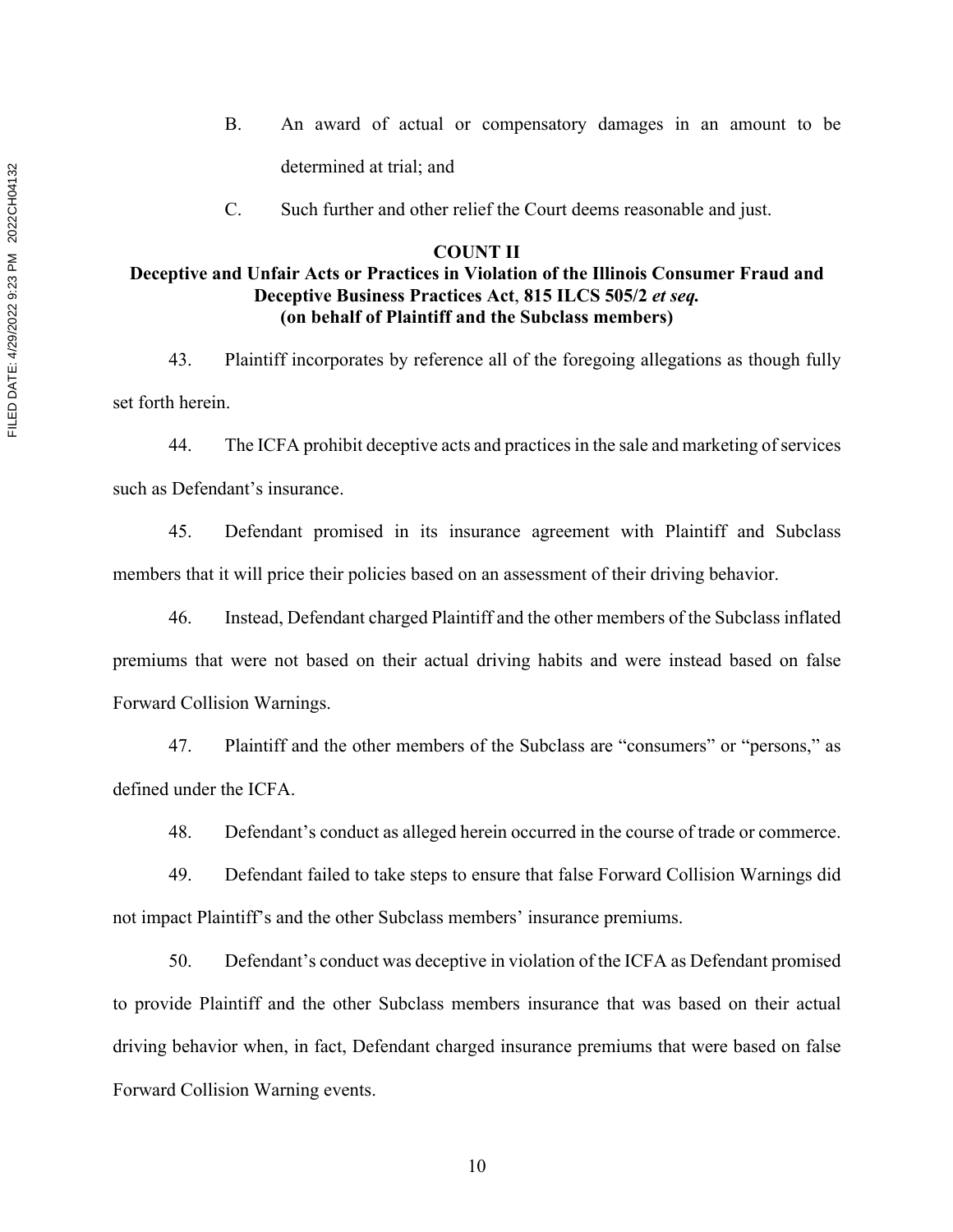- B. An award of actual or compensatory damages in an amount to be determined at trial; and
- C. Such further and other relief the Court deems reasonable and just.

## **COUNT II**

# **Deceptive and Unfair Acts or Practices in Violation of the Illinois Consumer Fraud and Deceptive Business Practices Act**, **815 ILCS 505/2** *et seq.* **(on behalf of Plaintiff and the Subclass members)**

43. Plaintiff incorporates by reference all of the foregoing allegations as though fully set forth herein.

44. The ICFA prohibit deceptive acts and practices in the sale and marketing of services such as Defendant's insurance.

45. Defendant promised in its insurance agreement with Plaintiff and Subclass members that it will price their policies based on an assessment of their driving behavior.

46. Instead, Defendant charged Plaintiff and the other members of the Subclass inflated premiums that were not based on their actual driving habits and were instead based on false Forward Collision Warnings.

47. Plaintiff and the other members of the Subclass are "consumers" or "persons," as defined under the ICFA.

48. Defendant's conduct as alleged herein occurred in the course of trade or commerce.

49. Defendant failed to take steps to ensure that false Forward Collision Warnings did not impact Plaintiff's and the other Subclass members' insurance premiums.

50. Defendant's conduct was deceptive in violation of the ICFA as Defendant promised to provide Plaintiff and the other Subclass members insurance that was based on their actual driving behavior when, in fact, Defendant charged insurance premiums that were based on false Forward Collision Warning events.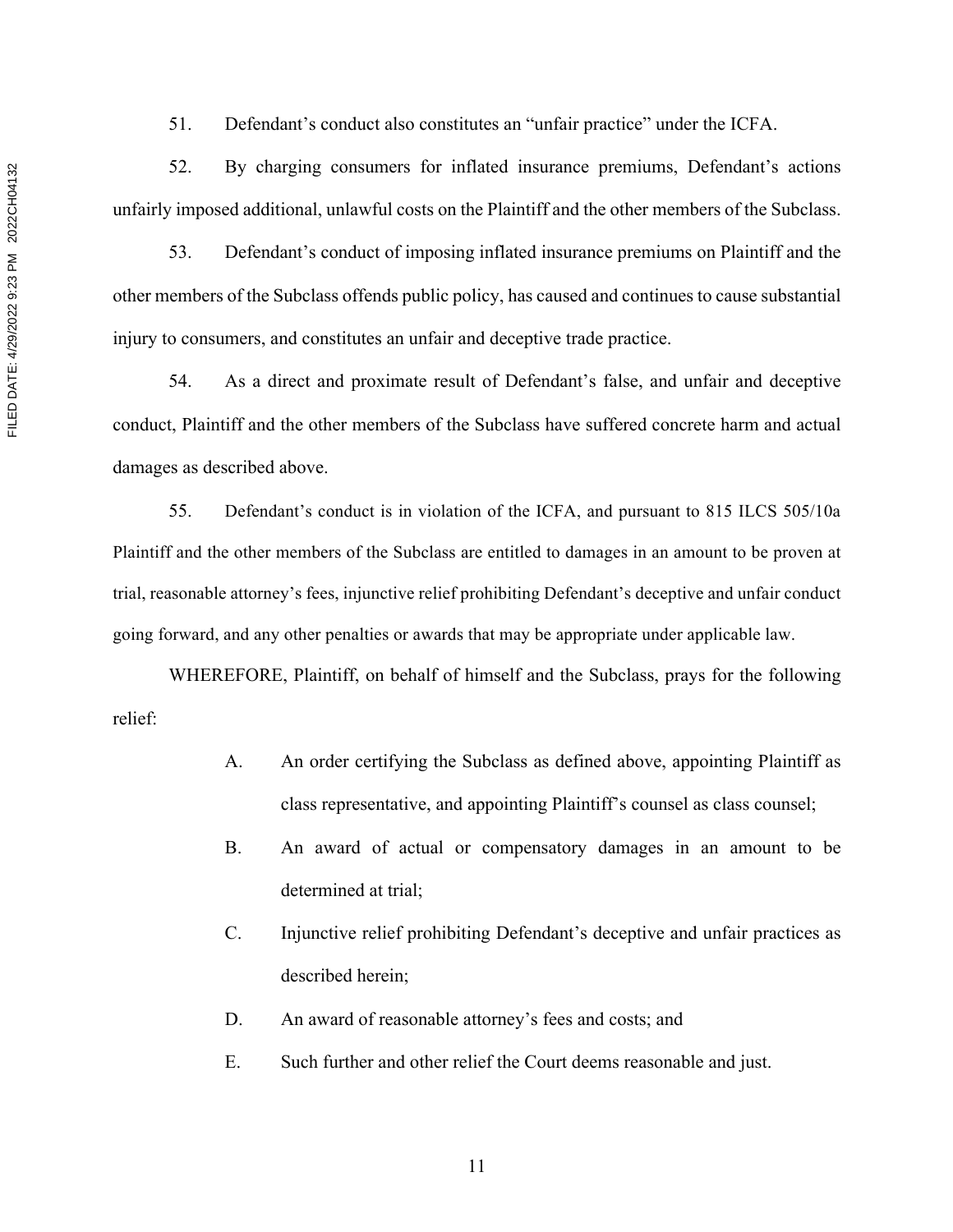52. By charging consumers for inflated insurance premiums, Defendant's actions unfairly imposed additional, unlawful costs on the Plaintiff and the other members of the Subclass.

53. Defendant's conduct of imposing inflated insurance premiums on Plaintiff and the other members of the Subclass offends public policy, has caused and continues to cause substantial injury to consumers, and constitutes an unfair and deceptive trade practice.

54. As a direct and proximate result of Defendant's false, and unfair and deceptive conduct, Plaintiff and the other members of the Subclass have suffered concrete harm and actual damages as described above.

55. Defendant's conduct is in violation of the ICFA, and pursuant to 815 ILCS 505/10a Plaintiff and the other members of the Subclass are entitled to damages in an amount to be proven at trial, reasonable attorney's fees, injunctive relief prohibiting Defendant's deceptive and unfair conduct going forward, and any other penalties or awards that may be appropriate under applicable law.

WHEREFORE, Plaintiff, on behalf of himself and the Subclass, prays for the following relief:

- A. An order certifying the Subclass as defined above, appointing Plaintiff as class representative, and appointing Plaintiff's counsel as class counsel;
- B. An award of actual or compensatory damages in an amount to be determined at trial;
- C. Injunctive relief prohibiting Defendant's deceptive and unfair practices as described herein;
- D. An award of reasonable attorney's fees and costs; and
- E. Such further and other relief the Court deems reasonable and just.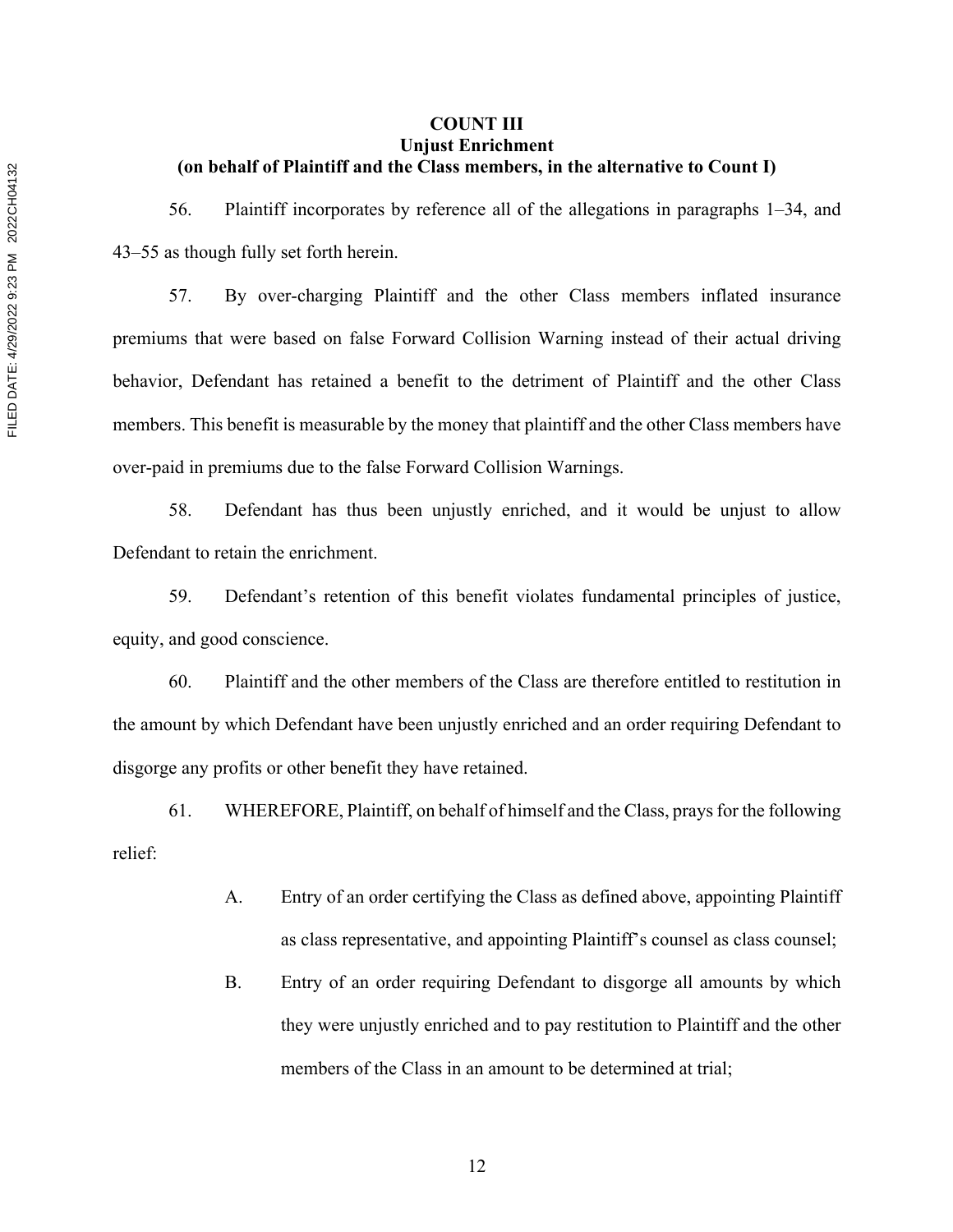# **COUNT III Unjust Enrichment (on behalf of Plaintiff and the Class members, in the alternative to Count I)**

56. Plaintiff incorporates by reference all of the allegations in paragraphs 1–34, and 43–55 as though fully set forth herein.

57. By over-charging Plaintiff and the other Class members inflated insurance premiums that were based on false Forward Collision Warning instead of their actual driving behavior, Defendant has retained a benefit to the detriment of Plaintiff and the other Class members. This benefit is measurable by the money that plaintiff and the other Class members have over-paid in premiums due to the false Forward Collision Warnings.

58. Defendant has thus been unjustly enriched, and it would be unjust to allow Defendant to retain the enrichment.

59. Defendant's retention of this benefit violates fundamental principles of justice, equity, and good conscience.

60. Plaintiff and the other members of the Class are therefore entitled to restitution in the amount by which Defendant have been unjustly enriched and an order requiring Defendant to disgorge any profits or other benefit they have retained.

61. WHEREFORE, Plaintiff, on behalf of himself and the Class, prays for the following relief:

- A. Entry of an order certifying the Class as defined above, appointing Plaintiff as class representative, and appointing Plaintiff's counsel as class counsel;
- B. Entry of an order requiring Defendant to disgorge all amounts by which they were unjustly enriched and to pay restitution to Plaintiff and the other members of the Class in an amount to be determined at trial;